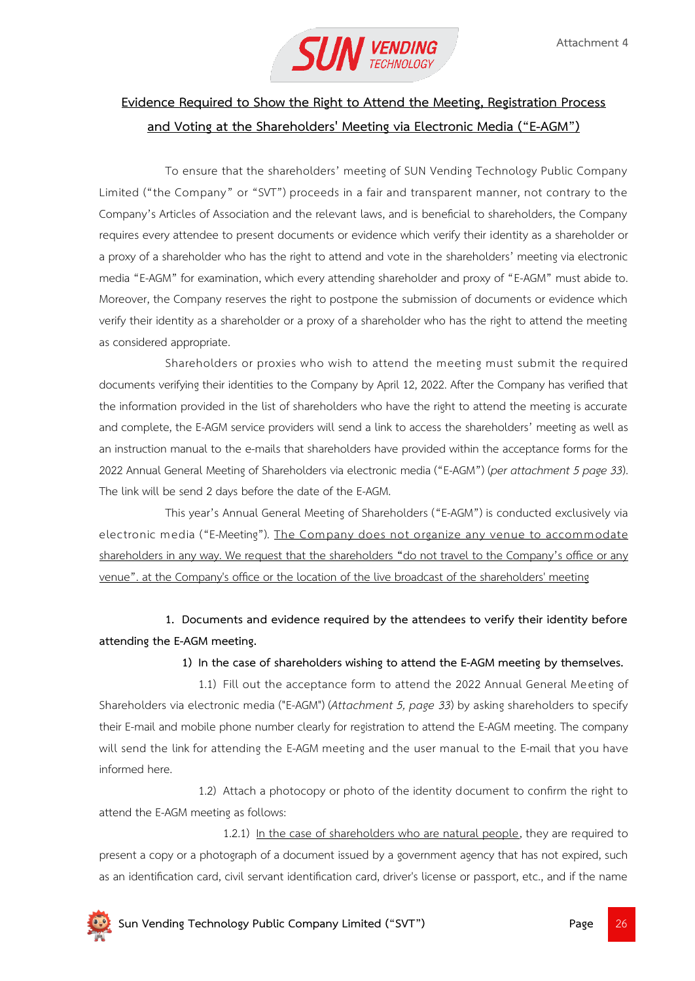

# **Evidence Required to Show the Right to Attend the Meeting, Registration Process and Voting at the Shareholders' Meeting via Electronic Media ("E-AGM")**

To ensure that the shareholders' meeting of SUN Vending Technology Public Company Limited ("the Company" or "SVT") proceeds in a fair and transparent manner, not contrary to the Company's Articles of Association and the relevant laws, and is beneficial to shareholders, the Company requires every attendee to present documents or evidence which verify their identity as a shareholder or a proxy of a shareholder who has the right to attend and vote in the shareholders' meeting via electronic media "E-AGM" for examination, which every attending shareholder and proxy of "E-AGM" must abide to. Moreover, the Company reserves the right to postpone the submission of documents or evidence which verify their identity as a shareholder or a proxy of a shareholder who has the right to attend the meeting as considered appropriate.

Shareholders or proxies who wish to attend the meeting must submit the required documents verifying their identities to the Company by April 12, 2022. After the Company has verified that the information provided in the list of shareholders who have the right to attend the meeting is accurate and complete, the E-AGM service providers will send a link to access the shareholders' meeting as well as an instruction manual to the e-mails that shareholders have provided within the acceptance forms for the 2022 Annual General Meeting of Shareholders via electronic media ("E-AGM") (*per attachment 5 page 33*). The link will be send 2 days before the date of the E-AGM.

This year's Annual General Meeting of Shareholders ("E-AGM") is conducted exclusively via electronic media ("E-Meeting"). The Company does not organize any venue to accommodate shareholders in any way. We request that the shareholders **"**do not travel to the Company's office or any venue". at the Company's office or the location of the live broadcast of the shareholders' meeting

**1. Documents and evidence required by the attendees to verify their identity before attending the E-AGM meeting.**

## **1) In the case of shareholders wishing to attend the E-AGM meeting by themselves.**

1.1) Fill out the acceptance form to attend the 2022 Annual General Meeting of Shareholders via electronic media ("E-AGM") (*Attachment 5, page 33*) by asking shareholders to specify their E-mail and mobile phone number clearly for registration to attend the E-AGM meeting. The company will send the link for attending the E-AGM meeting and the user manual to the E-mail that you have informed here.

1.2) Attach a photocopy or photo of the identity document to confirm the right to attend the E-AGM meeting as follows:

1.2.1) In the case of shareholders who are natural people, they are required to present a copy or a photograph of a document issued by a government agency that has not expired, such as an identification card, civil servant identification card, driver's license or passport, etc., and if the name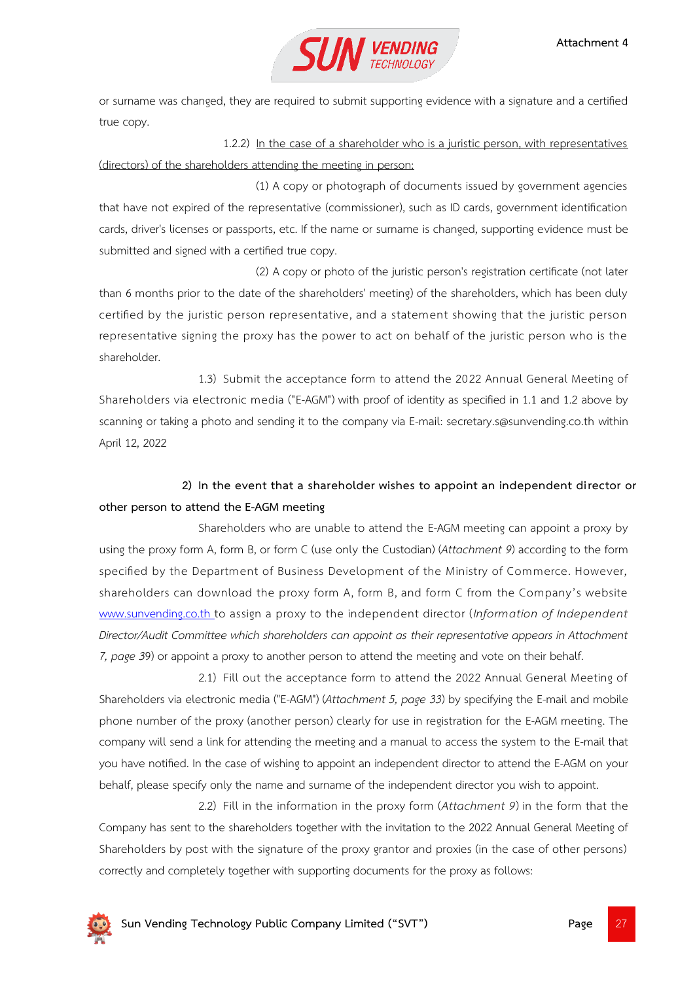

or surname was changed, they are required to submit supporting evidence with a signature and a certified true copy.

1.2.2) In the case of a shareholder who is a juristic person, with representatives (directors) of the shareholders attending the meeting in person:

(1) A copy or photograph of documents issued by government agencies that have not expired of the representative (commissioner), such as ID cards, government identification cards, driver's licenses or passports, etc. If the name or surname is changed, supporting evidence must be submitted and signed with a certified true copy.

(2) A copy or photo of the juristic person's registration certificate (not later than 6 months prior to the date of the shareholders' meeting) of the shareholders, which has been duly certified by the juristic person representative, and a statement showing that the juristic person representative signing the proxy has the power to act on behalf of the juristic person who is the shareholder.

1.3) Submit the acceptance form to attend the 2022 Annual General Meeting of Shareholders via electronic media ("E-AGM") with proof of identity as specified in 1.1 and 1.2 above by scanning or taking a photo and sending it to the company via E-mail: secretary.s@sunvending.co.th within April 12, 2022

## **2) In the event that a shareholder wishes to appoint an independent director or other person to attend the E-AGM meeting**

Shareholders who are unable to attend the E-AGM meeting can appoint a proxy by using the proxy form A, form B, or form C (use only the Custodian) (*Attachment 9*) according to the form specified by the Department of Business Development of the Ministry of Commerce. However, shareholders can download the proxy form A, form B, and form C from the Company's websit[e](http://www.sunvending.co.th/) [www.sunvending.co.th](http://www.sunvending.co.th/) to assign a proxy to the independent director (*Information of Independent Director/Audit Committee which shareholders can appoint as their representative appears in Attachment 7, page 3*9) or appoint a proxy to another person to attend the meeting and vote on their behalf.

2.1) Fill out the acceptance form to attend the 2022 Annual General Meeting of Shareholders via electronic media ("E-AGM") (*Attachment 5, page 33*) by specifying the E-mail and mobile phone number of the proxy (another person) clearly for use in registration for the E-AGM meeting. The company will send a link for attending the meeting and a manual to access the system to the E-mail that you have notified. In the case of wishing to appoint an independent director to attend the E-AGM on your behalf, please specify only the name and surname of the independent director you wish to appoint.

2.2) Fill in the information in the proxy form (*Attachment 9*) in the form that the Company has sent to the shareholders together with the invitation to the 2022 Annual General Meeting of Shareholders by post with the signature of the proxy grantor and proxies (in the case of other persons) correctly and completely together with supporting documents for the proxy as follows:

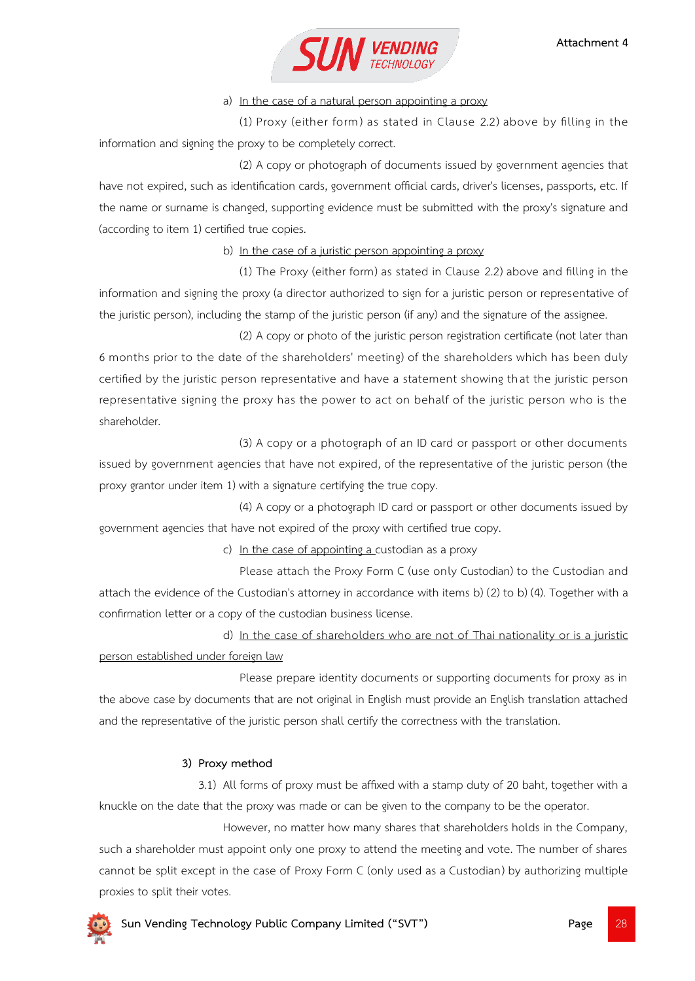

## a) In the case of a natural person appointing a proxy

(1) Proxy (either form) as stated in Clause 2.2) above by filling in the information and signing the proxy to be completely correct.

(2) A copy or photograph of documents issued by government agencies that have not expired, such as identification cards, government official cards, driver's licenses, passports, etc. If the name or surname is changed, supporting evidence must be submitted with the proxy's signature and (according to item 1) certified true copies.

b) In the case of a juristic person appointing a proxy

(1) The Proxy (either form) as stated in Clause 2.2) above and filling in the information and signing the proxy (a director authorized to sign for a juristic person or representative of the juristic person), including the stamp of the juristic person (if any) and the signature of the assignee.

(2) A copy or photo of the juristic person registration certificate (not later than 6 months prior to the date of the shareholders' meeting) of the shareholders which has been duly certified by the juristic person representative and have a statement showing that the juristic person representative signing the proxy has the power to act on behalf of the juristic person who is the shareholder.

(3) A copy or a photograph of an ID card or passport or other documents issued by government agencies that have not expired, of the representative of the juristic person (the proxy grantor under item 1) with a signature certifying the true copy.

(4) A copy or a photograph ID card or passport or other documents issued by government agencies that have not expired of the proxy with certified true copy.

c) In the case of appointing a custodian as a proxy

Please attach the Proxy Form C (use only Custodian) to the Custodian and attach the evidence of the Custodian's attorney in accordance with items b) (2) to b) (4). Together with a confirmation letter or a copy of the custodian business license.

d) In the case of shareholders who are not of Thai nationality or is a juristic person established under foreign law

Please prepare identity documents or supporting documents for proxy as in the above case by documents that are not original in English must provide an English translation attached and the representative of the juristic person shall certify the correctness with the translation.

## **3) Proxy method**

3.1) All forms of proxy must be affixed with a stamp duty of 20 baht, together with a knuckle on the date that the proxy was made or can be given to the company to be the operator.

However, no matter how many shares that shareholders holds in the Company, such a shareholder must appoint only one proxy to attend the meeting and vote. The number of shares cannot be split except in the case of Proxy Form C (only used as a Custodian) by authorizing multiple proxies to split their votes.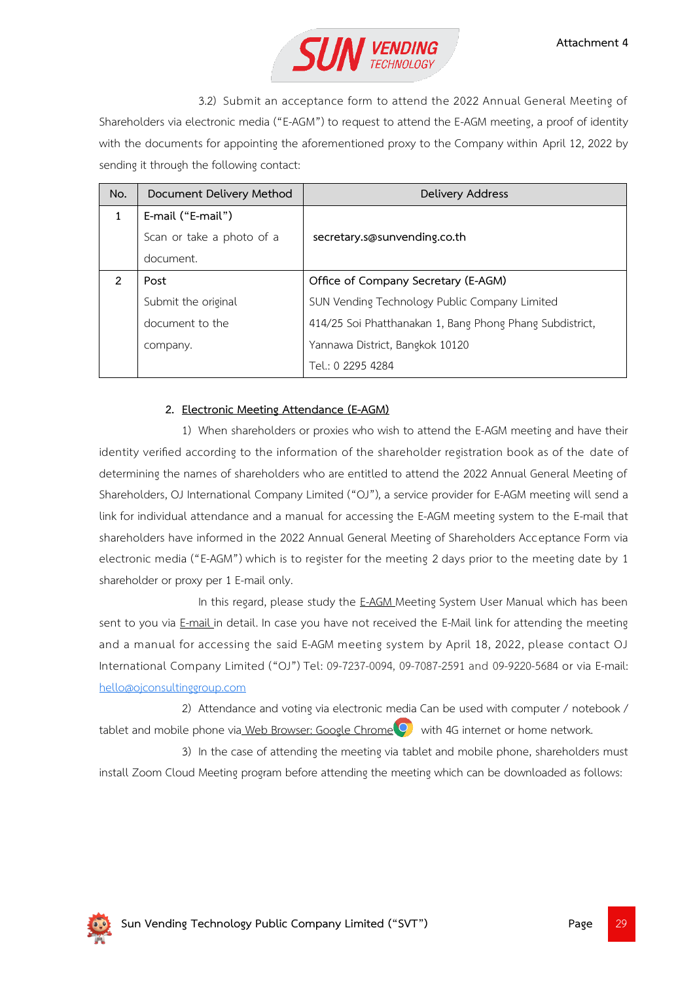

3.2) Submit an acceptance form to attend the 2022 Annual General Meeting of Shareholders via electronic media ("E-AGM") to request to attend the E-AGM meeting, a proof of identity with the documents for appointing the aforementioned proxy to the Company within April 12, 2022 by sending it through the following contact:

| No.          | Document Delivery Method  | Delivery Address                                         |
|--------------|---------------------------|----------------------------------------------------------|
| $\mathbf{1}$ | E-mail ("E-mail")         |                                                          |
|              | Scan or take a photo of a | secretary.s@sunvending.co.th                             |
|              | document.                 |                                                          |
| 2            | Post                      | Office of Company Secretary (E-AGM)                      |
|              | Submit the original       | SUN Vending Technology Public Company Limited            |
|              | document to the           | 414/25 Soi Phatthanakan 1, Bang Phong Phang Subdistrict, |
|              | company.                  | Yannawa District, Bangkok 10120                          |
|              |                           | Tel.: 0 2295 4284                                        |

## **2. Electronic Meeting Attendance (E-AGM)**

1) When shareholders or proxies who wish to attend the E-AGM meeting and have their identity verified according to the information of the shareholder registration book as of the date of determining the names of shareholders who are entitled to attend the 2022 Annual General Meeting of Shareholders, OJ International Company Limited ("OJ"), a service provider for E-AGM meeting will send a link for individual attendance and a manual for accessing the E-AGM meeting system to the E-mail that shareholders have informed in the 2022 Annual General Meeting of Shareholders Acceptance Form via electronic media ("E-AGM") which is to register for the meeting 2 days prior to the meeting date by 1 shareholder or proxy per 1 E-mail only.

In this regard, please study the E-AGM Meeting System User Manual which has been sent to you via E-mail in detail. In case you have not received the E-Mail link for attending the meeting and a manual for accessing the said E-AGM meeting system by April 18, 2022, please contact OJ International Company Limited ("OJ") Tel: 09-7237-0094, 09-7087-2591 and 09-9220-5684 or via E-mail: [hello@ojconsultinggroup.com](mailto:hello@ojconsultinggroup.com)

2) Attendance and voting via electronic media Can be used with computer / notebook / tablet and mobile phone via Web Browser: Google Chrome  $\overline{Q}$  with 4G internet or home network.

3) In the case of attending the meeting via tablet and mobile phone, shareholders must install Zoom Cloud Meeting program before attending the meeting which can be downloaded as follows:

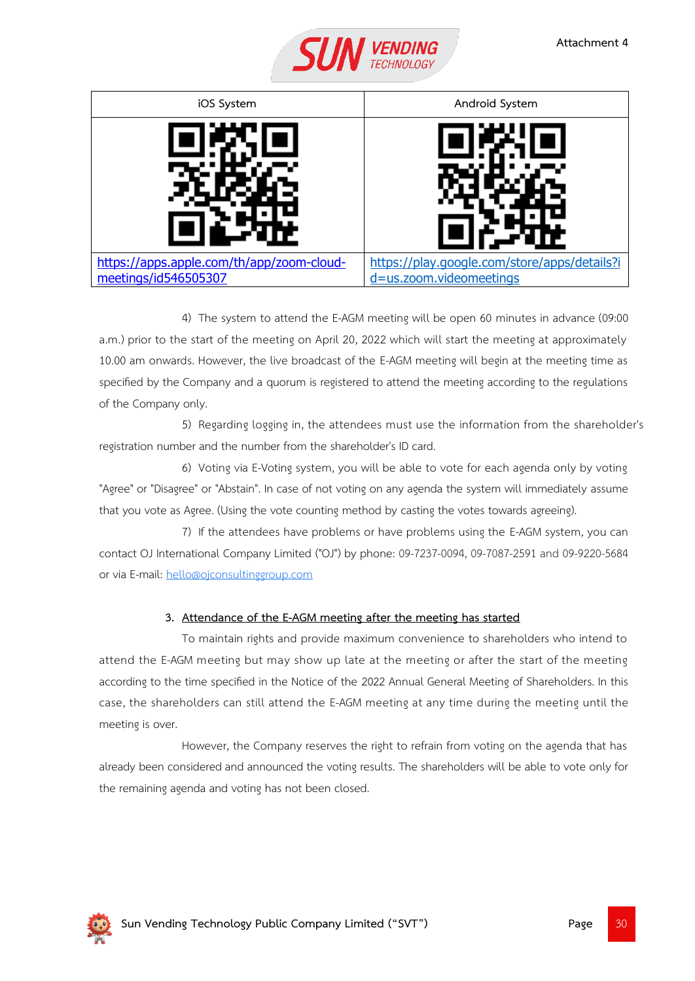

| iOS System                                                        | Android System                                                          |
|-------------------------------------------------------------------|-------------------------------------------------------------------------|
|                                                                   |                                                                         |
| https://apps.apple.com/th/app/zoom-cloud-<br>meetings/id546505307 | https://play.google.com/store/apps/details?i<br>d=us.zoom.videomeetings |

4) The system to attend the E-AGM meeting will be open 60 minutes in advance (09:00 a.m.) prior to the start of the meeting on April 20, 2022 which will start the meeting at approximately 10.00 am onwards. However, the live broadcast of the E-AGM meeting will begin at the meeting time as specified by the Company and a quorum is registered to attend the meeting according to the regulations of the Company only.

5) Regarding logging in, the attendees must use the information from the shareholder's registration number and the number from the shareholder's ID card.

6) Voting via E-Voting system, you will be able to vote for each agenda only by voting "Agree" or "Disagree" or "Abstain". In case of not voting on any agenda the system will immediately assume that you vote as Agree. (Using the vote counting method by casting the votes towards agreeing).

7) If the attendees have problems or have problems using the E-AGM system, you can contact OJ International Company Limited ("OJ") by phone: 09-7237-0094, 09-7087-2591 and 09-9220-5684 or via E-mail: [hello@ojconsultinggroup.com](mailto:hello@ojconsultinggroup.com)

## **3. Attendance of the E-AGM meeting after the meeting has started**

To maintain rights and provide maximum convenience to shareholders who intend to attend the E-AGM meeting but may show up late at the meeting or after the start of the meeting according to the time specified in the Notice of the 2022 Annual General Meeting of Shareholders. In this case, the shareholders can still attend the E-AGM meeting at any time during the meeting until the meeting is over.

However, the Company reserves the right to refrain from voting on the agenda that has already been considered and announced the voting results. The shareholders will be able to vote only for the remaining agenda and voting has not been closed.

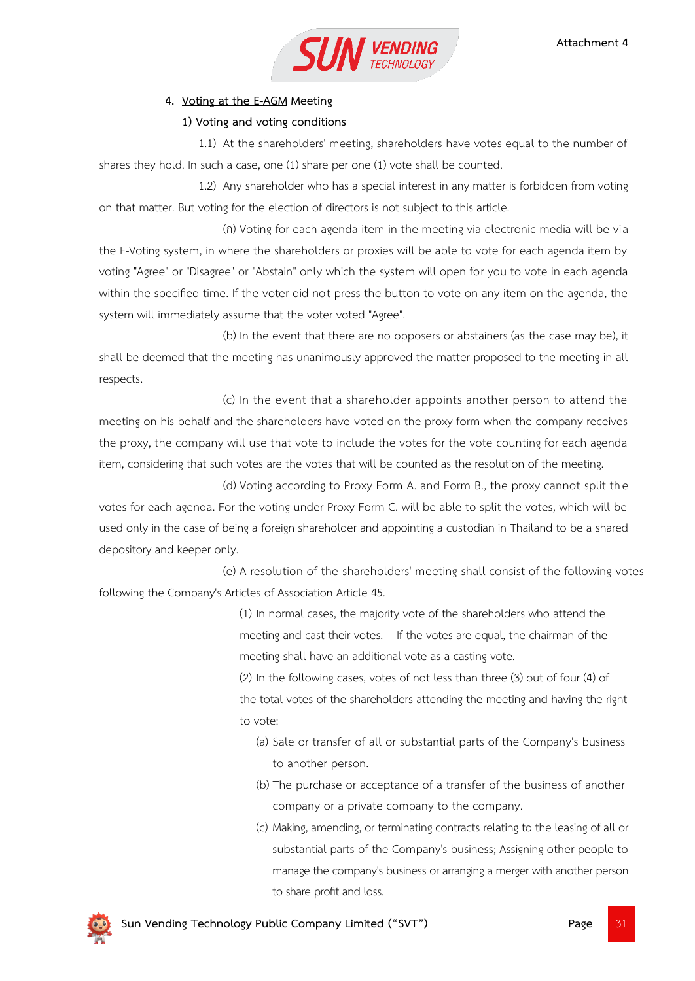

## **4. Voting at the E-AGM Meeting**

### **1) Voting and voting conditions**

1.1) At the shareholders' meeting, shareholders have votes equal to the number of shares they hold. In such a case, one (1) share per one (1) vote shall be counted.

1.2) Any shareholder who has a special interest in any matter is forbidden from voting on that matter. But voting for the election of directors is not subject to this article.

(ก) Voting for each agenda item in the meeting via electronic media will be via the E-Voting system, in where the shareholders or proxies will be able to vote for each agenda item by voting "Agree" or "Disagree" or "Abstain" only which the system will open for you to vote in each agenda within the specified time. If the voter did not press the button to vote on any item on the agenda, the system will immediately assume that the voter voted "Agree".

(b) In the event that there are no opposers or abstainers (as the case may be), it shall be deemed that the meeting has unanimously approved the matter proposed to the meeting in all respects.

(c) In the event that a shareholder appoints another person to attend the meeting on his behalf and the shareholders have voted on the proxy form when the company receives the proxy, the company will use that vote to include the votes for the vote counting for each agenda item, considering that such votes are the votes that will be counted as the resolution of the meeting.

(d) Voting according to Proxy Form A. and Form B., the proxy cannot split the votes for each agenda. For the voting under Proxy Form C. will be able to split the votes, which will be used only in the case of being a foreign shareholder and appointing a custodian in Thailand to be a shared depository and keeper only.

(e) A resolution of the shareholders' meeting shall consist of the following votes following the Company's Articles of Association Article 45.

> (1) In normal cases, the majority vote of the shareholders who attend the meeting and cast their votes. If the votes are equal, the chairman of the meeting shall have an additional vote as a casting vote.

(2) In the following cases, votes of not less than three (3) out of four (4) of the total votes of the shareholders attending the meeting and having the right to vote:

- (a) Sale or transfer of all or substantial parts of the Company's business to another person.
- (b) The purchase or acceptance of a transfer of the business of another company or a private company to the company.
- (c) Making, amending, or terminating contracts relating to the leasing of all or substantial parts of the Company's business; Assigning other people to manage the company's business or arranging a merger with another person to share profit and loss.